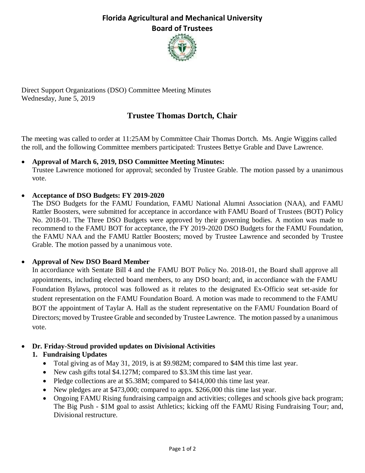## **Florida Agricultural and Mechanical University Board of Trustees**



Direct Support Organizations (DSO) Committee Meeting Minutes Wednesday, June 5, 2019

## **Trustee Thomas Dortch, Chair**

The meeting was called to order at 11:25AM by Committee Chair Thomas Dortch. Ms. Angie Wiggins called the roll, and the following Committee members participated: Trustees Bettye Grable and Dave Lawrence.

#### • **Approval of March 6, 2019, DSO Committee Meeting Minutes:**

Trustee Lawrence motioned for approval; seconded by Trustee Grable. The motion passed by a unanimous vote.

#### • **Acceptance of DSO Budgets: FY 2019-2020**

The DSO Budgets for the FAMU Foundation, FAMU National Alumni Association (NAA), and FAMU Rattler Boosters, were submitted for acceptance in accordance with FAMU Board of Trustees (BOT) Policy No. 2018-01. The Three DSO Budgets were approved by their governing bodies. A motion was made to recommend to the FAMU BOT for acceptance, the FY 2019-2020 DSO Budgets for the FAMU Foundation, the FAMU NAA and the FAMU Rattler Boosters; moved by Trustee Lawrence and seconded by Trustee Grable. The motion passed by a unanimous vote.

#### • **Approval of New DSO Board Member**

In accordiance with Sentate Bill 4 and the FAMU BOT Policy No. 2018-01, the Board shall approve all appointments, including elected board members, to any DSO board; and, in accordiance with the FAMU Foundation Bylaws, protocol was followed as it relates to the designated Ex-Officio seat set-aside for student representation on the FAMU Foundation Board. A motion was made to recommend to the FAMU BOT the appointment of Taylar A. Hall as the student representative on the FAMU Foundation Board of Directors; moved by Trustee Grable and seconded by Trustee Lawrence. The motion passed by a unanimous vote.

## • **Dr. Friday-Stroud provided updates on Divisional Activities**

## **1. Fundraising Updates**

- Total giving as of May 31, 2019, is at \$9.982M; compared to \$4M this time last year.
- New cash gifts total \$4.127M; compared to \$3.3M this time last year.
- Pledge collections are at \$5.38M; compared to \$414,000 this time last year.
- New pledges are at \$473,000; compared to appx. \$266,000 this time last year.
- Ongoing FAMU Rising fundraising campaign and activities; colleges and schools give back program; The Big Push - \$1M goal to assist Athletics; kicking off the FAMU Rising Fundraising Tour; and, Divisional restructure.